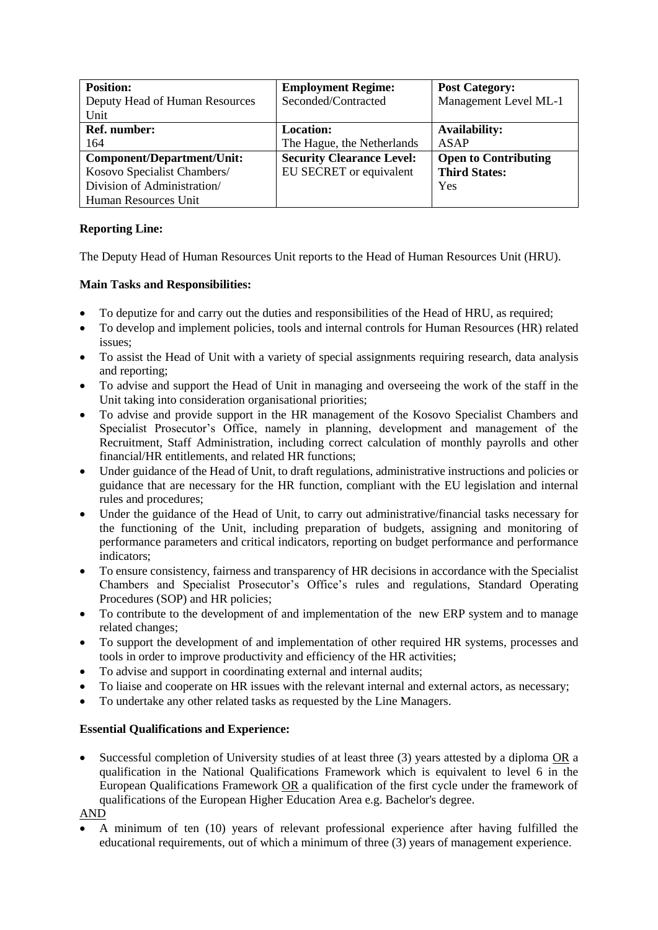| <b>Position:</b>               | <b>Employment Regime:</b>        | <b>Post Category:</b>       |
|--------------------------------|----------------------------------|-----------------------------|
| Deputy Head of Human Resources | Seconded/Contracted              | Management Level ML-1       |
| Unit                           |                                  |                             |
| <b>Ref.</b> number:            | <b>Location:</b>                 | <b>Availability:</b>        |
| 164                            | The Hague, the Netherlands       | ASAP                        |
| Component/Department/Unit:     | <b>Security Clearance Level:</b> | <b>Open to Contributing</b> |
| Kosovo Specialist Chambers/    | EU SECRET or equivalent          | <b>Third States:</b>        |
| Division of Administration/    |                                  | Yes                         |
| Human Resources Unit           |                                  |                             |

## **Reporting Line:**

The Deputy Head of Human Resources Unit reports to the Head of Human Resources Unit (HRU).

## **Main Tasks and Responsibilities:**

- To deputize for and carry out the duties and responsibilities of the Head of HRU, as required;
- To develop and implement policies, tools and internal controls for Human Resources (HR) related issues;
- To assist the Head of Unit with a variety of special assignments requiring research, data analysis and reporting;
- To advise and support the Head of Unit in managing and overseeing the work of the staff in the Unit taking into consideration organisational priorities;
- To advise and provide support in the HR management of the Kosovo Specialist Chambers and Specialist Prosecutor's Office, namely in planning, development and management of the Recruitment, Staff Administration, including correct calculation of monthly payrolls and other financial/HR entitlements, and related HR functions;
- Under guidance of the Head of Unit, to draft regulations, administrative instructions and policies or guidance that are necessary for the HR function, compliant with the EU legislation and internal rules and procedures;
- Under the guidance of the Head of Unit, to carry out administrative/financial tasks necessary for the functioning of the Unit, including preparation of budgets, assigning and monitoring of performance parameters and critical indicators, reporting on budget performance and performance indicators;
- To ensure consistency, fairness and transparency of HR decisions in accordance with the Specialist Chambers and Specialist Prosecutor's Office's rules and regulations, Standard Operating Procedures (SOP) and HR policies;
- To contribute to the development of and implementation of the new ERP system and to manage related changes;
- To support the development of and implementation of other required HR systems, processes and tools in order to improve productivity and efficiency of the HR activities;
- To advise and support in coordinating external and internal audits;
- To liaise and cooperate on HR issues with the relevant internal and external actors, as necessary;
- To undertake any other related tasks as requested by the Line Managers.

## **Essential Qualifications and Experience:**

 Successful completion of University studies of at least three (3) years attested by a diploma OR a qualification in the National Qualifications Framework which is equivalent to level 6 in the European Qualifications Framework OR a qualification of the first cycle under the framework of qualifications of the European Higher Education Area e.g. Bachelor's degree.

 A minimum of ten (10) years of relevant professional experience after having fulfilled the educational requirements, out of which a minimum of three  $(3)$  years of management experience.

AND